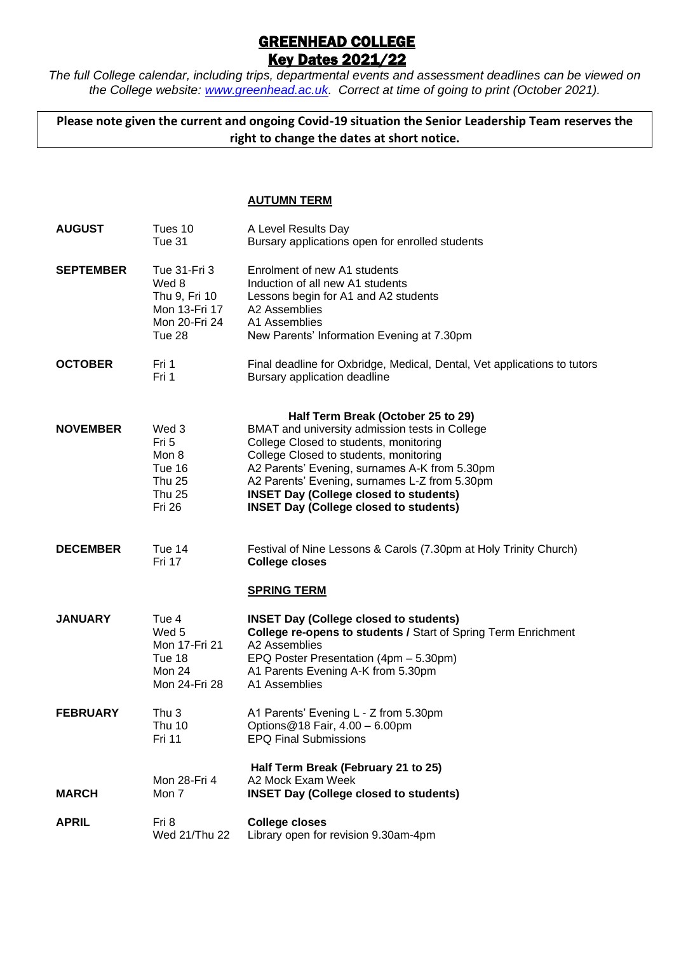## GREENHEAD COLLEGE **Key Dates 2021/22**

*The full College calendar, including trips, departmental events and assessment deadlines can be viewed on the College website: [www.greenhead.ac.uk.](http://www.greenhead.ac.uk/) Correct at time of going to print (October 2021).*

**Please note given the current and ongoing Covid-19 situation the Senior Leadership Team reserves the right to change the dates at short notice.**

## **AUTUMN TERM**

| <b>AUGUST</b>    | Tues 10<br>Tue 31                                                                    | A Level Results Day<br>Bursary applications open for enrolled students                                                                                                                                                                                                                                                                                                       |
|------------------|--------------------------------------------------------------------------------------|------------------------------------------------------------------------------------------------------------------------------------------------------------------------------------------------------------------------------------------------------------------------------------------------------------------------------------------------------------------------------|
| <b>SEPTEMBER</b> | Tue 31-Fri 3<br>Wed 8<br>Thu 9, Fri 10<br>Mon 13-Fri 17<br>Mon 20-Fri 24<br>Tue 28   | Enrolment of new A1 students<br>Induction of all new A1 students<br>Lessons begin for A1 and A2 students<br>A2 Assemblies<br>A1 Assemblies<br>New Parents' Information Evening at 7.30pm                                                                                                                                                                                     |
| <b>OCTOBER</b>   | Fri 1<br>Fri 1                                                                       | Final deadline for Oxbridge, Medical, Dental, Vet applications to tutors<br>Bursary application deadline                                                                                                                                                                                                                                                                     |
| <b>NOVEMBER</b>  | Wed 3<br>Fri 5<br>Mon 8<br>Tue 16<br><b>Thu 25</b><br><b>Thu 25</b><br><b>Fri 26</b> | Half Term Break (October 25 to 29)<br>BMAT and university admission tests in College<br>College Closed to students, monitoring<br>College Closed to students, monitoring<br>A2 Parents' Evening, surnames A-K from 5.30pm<br>A2 Parents' Evening, surnames L-Z from 5.30pm<br><b>INSET Day (College closed to students)</b><br><b>INSET Day (College closed to students)</b> |
| <b>DECEMBER</b>  | Tue 14<br>Fri 17                                                                     | Festival of Nine Lessons & Carols (7.30pm at Holy Trinity Church)<br><b>College closes</b>                                                                                                                                                                                                                                                                                   |
| <b>JANUARY</b>   | Tue 4<br>Wed 5<br>Mon 17-Fri 21<br>Tue 18<br>Mon 24<br>Mon 24-Fri 28                 | <b>SPRING TERM</b><br><b>INSET Day (College closed to students)</b><br>College re-opens to students / Start of Spring Term Enrichment<br>A2 Assemblies<br>EPQ Poster Presentation (4pm - 5.30pm)<br>A1 Parents Evening A-K from 5.30pm<br>A1 Assemblies                                                                                                                      |
| <b>FEBRUARY</b>  | Thu 3<br>Thu 10<br>Fri 11                                                            | A1 Parents' Evening L - Z from 5.30pm<br>Options@18 Fair, 4.00 - 6.00pm<br><b>EPQ Final Submissions</b>                                                                                                                                                                                                                                                                      |
| <b>MARCH</b>     | Mon 28-Fri 4<br>Mon 7                                                                | Half Term Break (February 21 to 25)<br>A2 Mock Exam Week<br><b>INSET Day (College closed to students)</b>                                                                                                                                                                                                                                                                    |
| <b>APRIL</b>     | Fri 8<br>Wed 21/Thu 22                                                               | <b>College closes</b><br>Library open for revision 9.30am-4pm                                                                                                                                                                                                                                                                                                                |